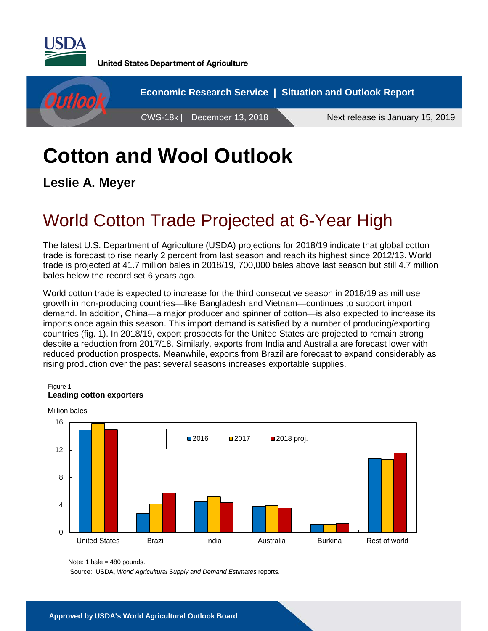

**United States Department of Agriculture** 



# **Cotton and Wool Outlook**

**Leslie A. Meyer**

## World Cotton Trade Projected at 6-Year High

The latest U.S. Department of Agriculture (USDA) projections for 2018/19 indicate that global cotton trade is forecast to rise nearly 2 percent from last season and reach its highest since 2012/13. World trade is projected at 41.7 million bales in 2018/19, 700,000 bales above last season but still 4.7 million bales below the record set 6 years ago.

World cotton trade is expected to increase for the third consecutive season in 2018/19 as mill use growth in non-producing countries—like Bangladesh and Vietnam—continues to support import demand. In addition, China—a major producer and spinner of cotton—is also expected to increase its imports once again this season. This import demand is satisfied by a number of producing/exporting countries (fig. 1). In 2018/19, export prospects for the United States are projected to remain strong despite a reduction from 2017/18. Similarly, exports from India and Australia are forecast lower with reduced production prospects. Meanwhile, exports from Brazil are forecast to expand considerably as rising production over the past several seasons increases exportable supplies.

### $\Omega$ 4 8 12 16 United States Brazil India Australia Burkina Rest of world ■2016 ■2017 ■2018 proj. Million bales

#### Figure 1 **Leading cotton exporters**

Source: USDA, *World Agricultural Supply and Demand Estimates* reports.

Note: 1 bale =  $480$  pounds.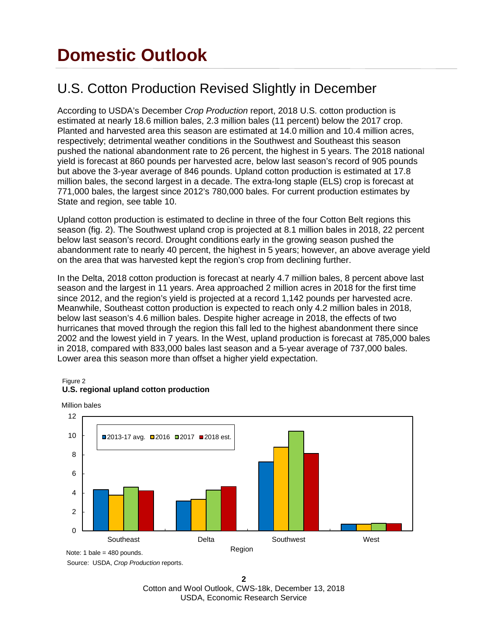## **Domestic Outlook**

### U.S. Cotton Production Revised Slightly in December

According to USDA's December *Crop Production* report, 2018 U.S. cotton production is estimated at nearly 18.6 million bales, 2.3 million bales (11 percent) below the 2017 crop. Planted and harvested area this season are estimated at 14.0 million and 10.4 million acres, respectively; detrimental weather conditions in the Southwest and Southeast this season pushed the national abandonment rate to 26 percent, the highest in 5 years. The 2018 national yield is forecast at 860 pounds per harvested acre, below last season's record of 905 pounds but above the 3-year average of 846 pounds. Upland cotton production is estimated at 17.8 million bales, the second largest in a decade. The extra-long staple (ELS) crop is forecast at 771,000 bales, the largest since 2012's 780,000 bales. For current production estimates by State and region, see table 10.

Upland cotton production is estimated to decline in three of the four Cotton Belt regions this season (fig. 2). The Southwest upland crop is projected at 8.1 million bales in 2018, 22 percent below last season's record. Drought conditions early in the growing season pushed the abandonment rate to nearly 40 percent, the highest in 5 years; however, an above average yield on the area that was harvested kept the region's crop from declining further.

In the Delta, 2018 cotton production is forecast at nearly 4.7 million bales, 8 percent above last season and the largest in 11 years. Area approached 2 million acres in 2018 for the first time since 2012, and the region's yield is projected at a record 1,142 pounds per harvested acre. Meanwhile, Southeast cotton production is expected to reach only 4.2 million bales in 2018, below last season's 4.6 million bales. Despite higher acreage in 2018, the effects of two hurricanes that moved through the region this fall led to the highest abandonment there since 2002 and the lowest yield in 7 years. In the West, upland production is forecast at 785,000 bales in 2018, compared with 833,000 bales last season and a 5-year average of 737,000 bales. Lower area this season more than offset a higher yield expectation.

#### Figure 2 **U.S. regional upland cotton production**

Million bales



Source: USDA, *Crop Production* reports.

**2** Cotton and Wool Outlook, CWS-18k, December 13, 2018 USDA, Economic Research Service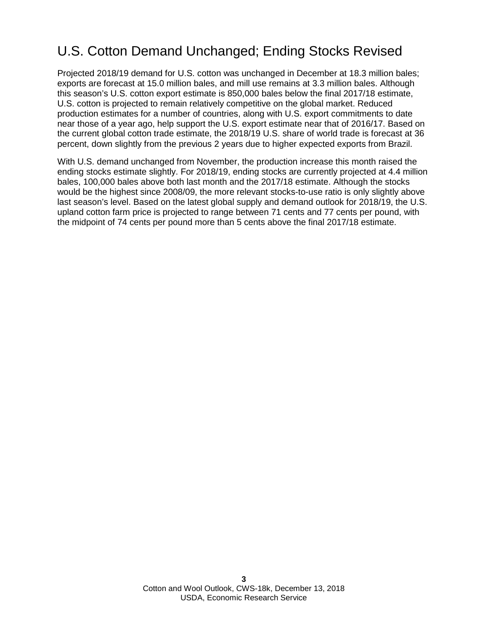### U.S. Cotton Demand Unchanged; Ending Stocks Revised

Projected 2018/19 demand for U.S. cotton was unchanged in December at 18.3 million bales; exports are forecast at 15.0 million bales, and mill use remains at 3.3 million bales. Although this season's U.S. cotton export estimate is 850,000 bales below the final 2017/18 estimate, U.S. cotton is projected to remain relatively competitive on the global market. Reduced production estimates for a number of countries, along with U.S. export commitments to date near those of a year ago, help support the U.S. export estimate near that of 2016/17. Based on the current global cotton trade estimate, the 2018/19 U.S. share of world trade is forecast at 36 percent, down slightly from the previous 2 years due to higher expected exports from Brazil.

With U.S. demand unchanged from November, the production increase this month raised the ending stocks estimate slightly. For 2018/19, ending stocks are currently projected at 4.4 million bales, 100,000 bales above both last month and the 2017/18 estimate. Although the stocks would be the highest since 2008/09, the more relevant stocks-to-use ratio is only slightly above last season's level. Based on the latest global supply and demand outlook for 2018/19, the U.S. upland cotton farm price is projected to range between 71 cents and 77 cents per pound, with the midpoint of 74 cents per pound more than 5 cents above the final 2017/18 estimate.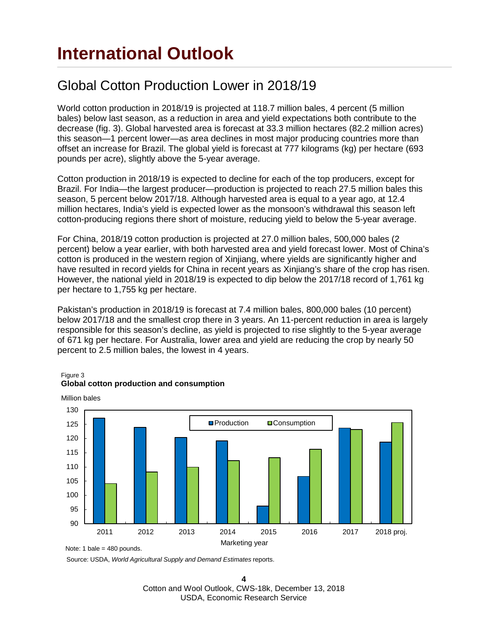## **International Outlook**

#### Global Cotton Production Lower in 2018/19

World cotton production in 2018/19 is projected at 118.7 million bales, 4 percent (5 million bales) below last season, as a reduction in area and yield expectations both contribute to the decrease (fig. 3). Global harvested area is forecast at 33.3 million hectares (82.2 million acres) this season—1 percent lower—as area declines in most major producing countries more than offset an increase for Brazil. The global yield is forecast at 777 kilograms (kg) per hectare (693 pounds per acre), slightly above the 5-year average.

Cotton production in 2018/19 is expected to decline for each of the top producers, except for Brazil. For India—the largest producer—production is projected to reach 27.5 million bales this season, 5 percent below 2017/18. Although harvested area is equal to a year ago, at 12.4 million hectares, India's yield is expected lower as the monsoon's withdrawal this season left cotton-producing regions there short of moisture, reducing yield to below the 5-year average.

For China, 2018/19 cotton production is projected at 27.0 million bales, 500,000 bales (2 percent) below a year earlier, with both harvested area and yield forecast lower. Most of China's cotton is produced in the western region of Xinjiang, where yields are significantly higher and have resulted in record yields for China in recent years as Xinjiang's share of the crop has risen. However, the national yield in 2018/19 is expected to dip below the 2017/18 record of 1,761 kg per hectare to 1,755 kg per hectare.

Pakistan's production in 2018/19 is forecast at 7.4 million bales, 800,000 bales (10 percent) below 2017/18 and the smallest crop there in 3 years. An 11-percent reduction in area is largely responsible for this season's decline, as yield is projected to rise slightly to the 5-year average of 671 kg per hectare. For Australia, lower area and yield are reducing the crop by nearly 50 percent to 2.5 million bales, the lowest in 4 years.



#### Figure 3 **Global cotton production and consumption**

Note: 1 bale = 480 pounds.

Million bales

Source: USDA, *World Agricultural Supply and Demand Estimates* reports.

**4** Cotton and Wool Outlook, CWS-18k, December 13, 2018 USDA, Economic Research Service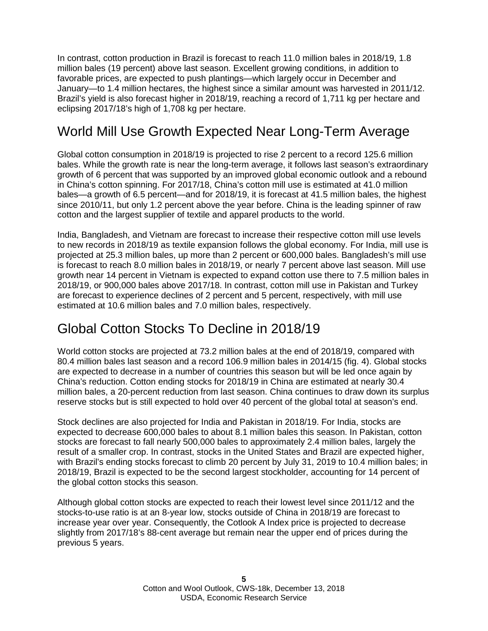In contrast, cotton production in Brazil is forecast to reach 11.0 million bales in 2018/19, 1.8 million bales (19 percent) above last season. Excellent growing conditions, in addition to favorable prices, are expected to push plantings—which largely occur in December and January—to 1.4 million hectares, the highest since a similar amount was harvested in 2011/12. Brazil's yield is also forecast higher in 2018/19, reaching a record of 1,711 kg per hectare and eclipsing 2017/18's high of 1,708 kg per hectare.

### World Mill Use Growth Expected Near Long-Term Average

Global cotton consumption in 2018/19 is projected to rise 2 percent to a record 125.6 million bales. While the growth rate is near the long-term average, it follows last season's extraordinary growth of 6 percent that was supported by an improved global economic outlook and a rebound in China's cotton spinning. For 2017/18, China's cotton mill use is estimated at 41.0 million bales—a growth of 6.5 percent—and for 2018/19, it is forecast at 41.5 million bales, the highest since 2010/11, but only 1.2 percent above the year before. China is the leading spinner of raw cotton and the largest supplier of textile and apparel products to the world.

India, Bangladesh, and Vietnam are forecast to increase their respective cotton mill use levels to new records in 2018/19 as textile expansion follows the global economy. For India, mill use is projected at 25.3 million bales, up more than 2 percent or 600,000 bales. Bangladesh's mill use is forecast to reach 8.0 million bales in 2018/19, or nearly 7 percent above last season. Mill use growth near 14 percent in Vietnam is expected to expand cotton use there to 7.5 million bales in 2018/19, or 900,000 bales above 2017/18. In contrast, cotton mill use in Pakistan and Turkey are forecast to experience declines of 2 percent and 5 percent, respectively, with mill use estimated at 10.6 million bales and 7.0 million bales, respectively.

#### Global Cotton Stocks To Decline in 2018/19

World cotton stocks are projected at 73.2 million bales at the end of 2018/19, compared with 80.4 million bales last season and a record 106.9 million bales in 2014/15 (fig. 4). Global stocks are expected to decrease in a number of countries this season but will be led once again by China's reduction. Cotton ending stocks for 2018/19 in China are estimated at nearly 30.4 million bales, a 20-percent reduction from last season. China continues to draw down its surplus reserve stocks but is still expected to hold over 40 percent of the global total at season's end.

Stock declines are also projected for India and Pakistan in 2018/19. For India, stocks are expected to decrease 600,000 bales to about 8.1 million bales this season. In Pakistan, cotton stocks are forecast to fall nearly 500,000 bales to approximately 2.4 million bales, largely the result of a smaller crop. In contrast, stocks in the United States and Brazil are expected higher, with Brazil's ending stocks forecast to climb 20 percent by July 31, 2019 to 10.4 million bales; in 2018/19, Brazil is expected to be the second largest stockholder, accounting for 14 percent of the global cotton stocks this season.

Although global cotton stocks are expected to reach their lowest level since 2011/12 and the stocks-to-use ratio is at an 8-year low, stocks outside of China in 2018/19 are forecast to increase year over year. Consequently, the Cotlook A Index price is projected to decrease slightly from 2017/18's 88-cent average but remain near the upper end of prices during the previous 5 years.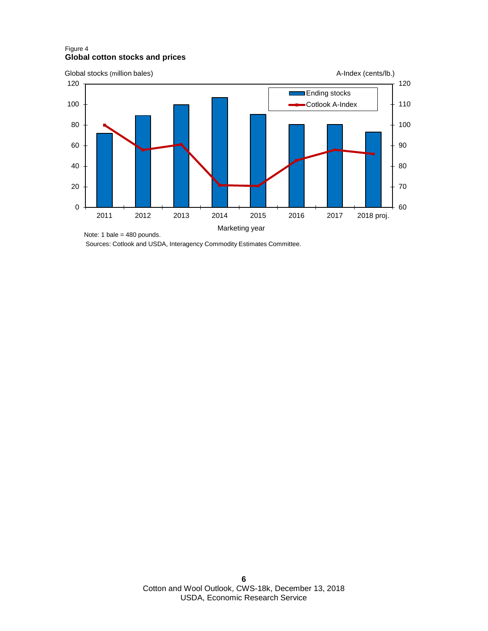#### Figure 4 **Global cotton stocks and prices**



Sources: Cotlook and USDA, Interagency Commodity Estimates Committee.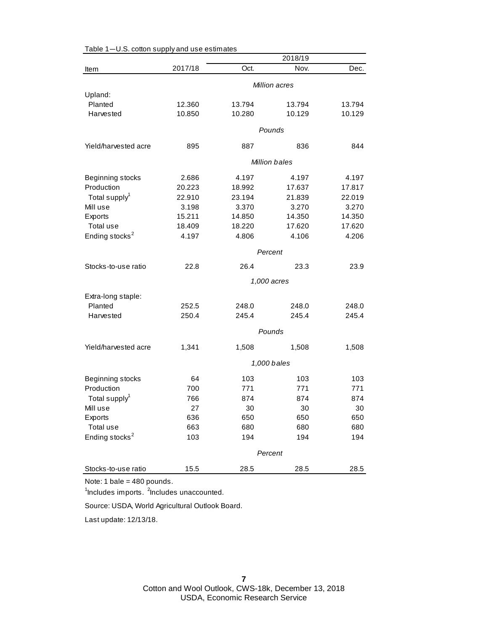|                            |         |        | 2018/19              |        |  |
|----------------------------|---------|--------|----------------------|--------|--|
| Item                       | 2017/18 | Oct.   | Nov.                 | Dec.   |  |
|                            |         |        | Million acres        |        |  |
| Upland:                    |         |        |                      |        |  |
| Planted                    | 12.360  | 13.794 | 13.794               | 13.794 |  |
| Harvested                  | 10.850  | 10.280 | 10.129               | 10.129 |  |
|                            |         |        | Pounds               |        |  |
| Yield/harvested acre       | 895     | 887    | 836                  | 844    |  |
|                            |         |        |                      |        |  |
|                            |         |        | <b>Million bales</b> |        |  |
| Beginning stocks           | 2.686   | 4.197  | 4.197                | 4.197  |  |
| Production                 | 20.223  | 18.992 | 17.637               | 17.817 |  |
| Total supply <sup>1</sup>  | 22.910  | 23.194 | 21.839               | 22.019 |  |
| Mill use                   | 3.198   | 3.370  | 3.270                | 3.270  |  |
| Exports                    | 15.211  | 14.850 | 14.350               | 14.350 |  |
| Total use                  | 18.409  | 18.220 | 17.620               | 17.620 |  |
| Ending stocks <sup>2</sup> | 4.197   | 4.806  | 4.106                | 4.206  |  |
|                            | Percent |        |                      |        |  |
| Stocks-to-use ratio        | 22.8    | 26.4   | 23.3                 | 23.9   |  |
|                            |         |        | 1,000 acres          |        |  |
| Extra-long staple:         |         |        |                      |        |  |
| Planted                    | 252.5   | 248.0  | 248.0                | 248.0  |  |
| Harvested                  | 250.4   | 245.4  | 245.4                | 245.4  |  |
|                            |         |        |                      |        |  |
|                            |         |        | Pounds               |        |  |
| Yield/harvested acre       | 1,341   | 1,508  | 1,508                | 1,508  |  |
|                            |         |        | 1,000 bales          |        |  |
| Beginning stocks           | 64      | 103    | 103                  | 103    |  |
| Production                 | 700     | 771    | 771                  | 771    |  |
| Total supply <sup>1</sup>  | 766     | 874    | 874                  | 874    |  |
| Mill use                   | 27      | 30     | 30                   | 30     |  |
| Exports                    | 636     | 650    | 650                  | 650    |  |
| Total use                  | 663     | 680    | 680                  | 680    |  |
| Ending stocks <sup>2</sup> | 103     | 194    | 194                  | 194    |  |
|                            |         |        | Percent              |        |  |
| Stocks-to-use ratio        | 15.5    | 28.5   | 28.5                 | 28.5   |  |
|                            |         |        |                      |        |  |

Table 1—U.S. cotton supply and use estimates

<sup>1</sup>Includes imports. <sup>2</sup>Includes unaccounted.

Source: USDA, World Agricultural Outlook Board.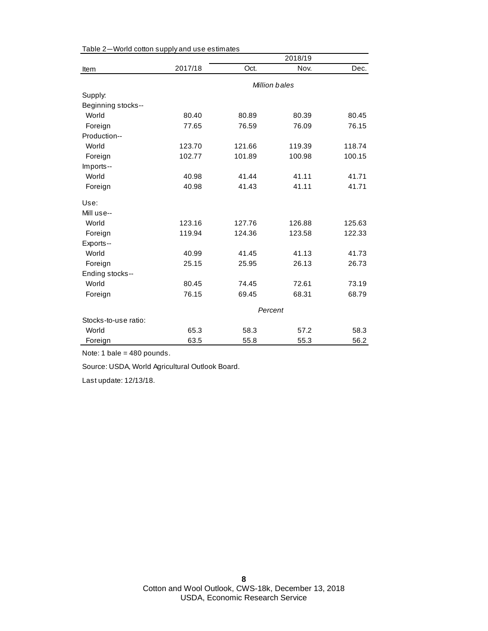|                      |         |        | 2018/19       |        |  |
|----------------------|---------|--------|---------------|--------|--|
| Item                 | 2017/18 | Oct.   | Nov.          | Dec.   |  |
|                      |         |        | Million bales |        |  |
| Supply:              |         |        |               |        |  |
| Beginning stocks--   |         |        |               |        |  |
| World                | 80.40   | 80.89  | 80.39         | 80.45  |  |
| Foreign              | 77.65   | 76.59  | 76.09         | 76.15  |  |
| Production--         |         |        |               |        |  |
| World                | 123.70  | 121.66 | 119.39        | 118.74 |  |
| Foreign              | 102.77  | 101.89 | 100.98        | 100.15 |  |
| Imports--            |         |        |               |        |  |
| World                | 40.98   | 41.44  | 41.11         | 41.71  |  |
| Foreign              | 40.98   | 41.43  | 41.11         | 41.71  |  |
| Use:                 |         |        |               |        |  |
| Mill use--           |         |        |               |        |  |
| World                | 123.16  | 127.76 | 126.88        | 125.63 |  |
| Foreign              | 119.94  | 124.36 | 123.58        | 122.33 |  |
| Exports--            |         |        |               |        |  |
| World                | 40.99   | 41.45  | 41.13         | 41.73  |  |
| Foreign              | 25.15   | 25.95  | 26.13         | 26.73  |  |
| Ending stocks--      |         |        |               |        |  |
| World                | 80.45   | 74.45  | 72.61         | 73.19  |  |
| Foreign              | 76.15   | 69.45  | 68.31         | 68.79  |  |
|                      | Percent |        |               |        |  |
| Stocks-to-use ratio: |         |        |               |        |  |
| World                | 65.3    | 58.3   | 57.2          | 58.3   |  |
| Foreign              | 63.5    | 55.8   | 55.3          | 56.2   |  |

Table 2—World cotton supply and use estimates

Note: 1 bale = 480 pounds.

Source: USDA, World Agricultural Outlook Board.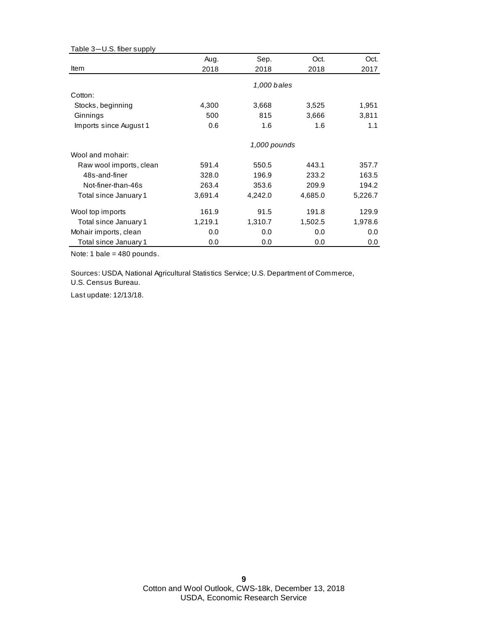| Table 3-U.S. fiber supply |         |              |         |         |
|---------------------------|---------|--------------|---------|---------|
|                           | Aug.    | Sep.         | Oct.    | Oct.    |
| Item                      | 2018    | 2018         | 2018    | 2017    |
|                           |         | 1,000 bales  |         |         |
| Cotton:                   |         |              |         |         |
| Stocks, beginning         | 4,300   | 3,668        | 3,525   | 1,951   |
| Ginnings                  | 500     | 815          | 3,666   | 3,811   |
| Imports since August 1    | 0.6     | 1.6          | 1.6     | 1.1     |
|                           |         | 1,000 pounds |         |         |
| Wool and mohair:          |         |              |         |         |
| Raw wool imports, clean   | 591.4   | 550.5        | 443.1   | 357.7   |
| 48s-and-finer             | 328.0   | 196.9        | 233.2   | 163.5   |
| Not-finer-than-46s        | 263.4   | 353.6        | 209.9   | 194.2   |
| Total since January 1     | 3,691.4 | 4,242.0      | 4,685.0 | 5,226.7 |
| Wool top imports          | 161.9   | 91.5         | 191.8   | 129.9   |
| Total since January 1     | 1,219.1 | 1,310.7      | 1,502.5 | 1,978.6 |
| Mohair imports, clean     | 0.0     | 0.0          | 0.0     | 0.0     |
| Total since January 1     | 0.0     | 0.0          | 0.0     | 0.0     |

Sources: USDA, National Agricultural Statistics Service; U.S. Department of Commerce, U.S. Census Bureau.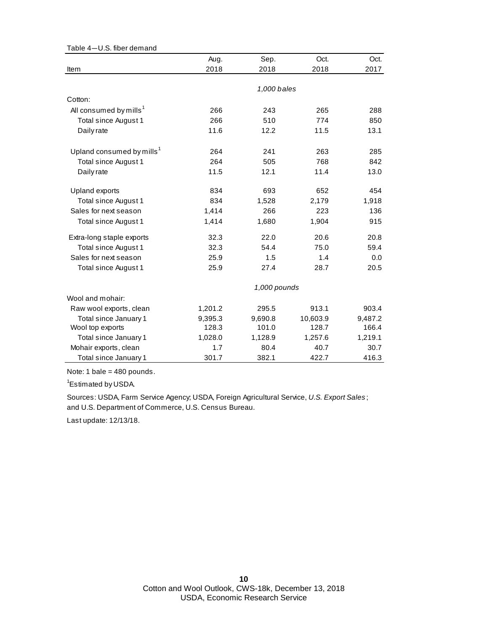| Table 4-U.S. fiber demand             |              |             |          |         |  |
|---------------------------------------|--------------|-------------|----------|---------|--|
|                                       | Aug.         | Sep.        | Oct.     | Oct.    |  |
| Item                                  | 2018         | 2018        | 2018     | 2017    |  |
|                                       |              |             |          |         |  |
|                                       |              | 1,000 bales |          |         |  |
| Cotton:                               |              |             |          |         |  |
| All consumed by mills <sup>1</sup>    | 266          | 243         | 265      | 288     |  |
| Total since August 1                  | 266          | 510         | 774      | 850     |  |
| Daily rate                            | 11.6         | 12.2        | 11.5     | 13.1    |  |
| Upland consumed by mills <sup>1</sup> | 264          | 241         | 263      | 285     |  |
| Total since August 1                  | 264          | 505         | 768      | 842     |  |
| Daily rate                            | 11.5         | 12.1        | 11.4     | 13.0    |  |
|                                       |              |             |          |         |  |
| <b>Upland exports</b>                 | 834          | 693         | 652      | 454     |  |
| Total since August 1                  | 834          | 1,528       | 2,179    | 1,918   |  |
| Sales for next season                 | 1,414        | 266         | 223      | 136     |  |
| Total since August 1                  | 1,414        | 1,680       | 1,904    | 915     |  |
| Extra-long staple exports             | 32.3         | 22.0        | 20.6     | 20.8    |  |
| <b>Total since August 1</b>           | 32.3         | 54.4        | 75.0     | 59.4    |  |
| Sales for next season                 | 25.9         | 1.5         | 1.4      | 0.0     |  |
| Total since August 1                  | 25.9         | 27.4        | 28.7     | 20.5    |  |
|                                       | 1,000 pounds |             |          |         |  |
| Wool and mohair:                      |              |             |          |         |  |
| Raw wool exports, clean               | 1,201.2      | 295.5       | 913.1    | 903.4   |  |
| Total since January 1                 | 9,395.3      | 9,690.8     | 10,603.9 | 9,487.2 |  |
| Wool top exports                      | 128.3        | 101.0       | 128.7    | 166.4   |  |
| Total since January 1                 | 1,028.0      | 1,128.9     | 1,257.6  | 1,219.1 |  |
| Mohair exports, clean                 | 1.7          | 80.4        | 40.7     | 30.7    |  |
| Total since January 1                 | 301.7        | 382.1       | 422.7    | 416.3   |  |

<sup>1</sup>Estimated by USDA.

and U.S. Department of Commerce, U.S. Census Bureau. Sources: USDA, Farm Service Agency; USDA, Foreign Agricultural Service, *U.S. Export Sales* ;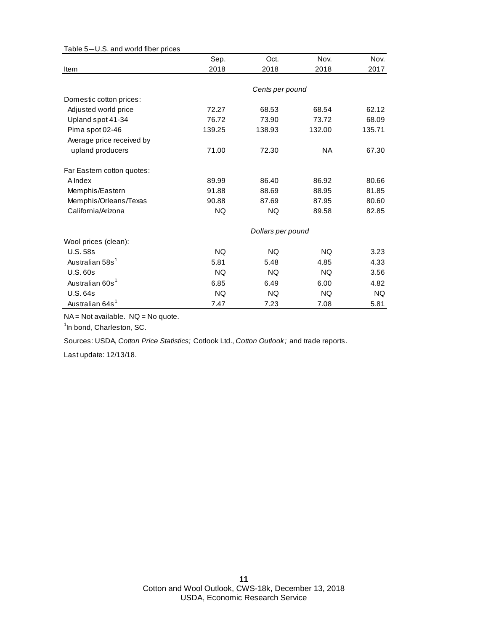| Table 5-U.S. and world fiber prices |                   |                 |           |           |  |
|-------------------------------------|-------------------|-----------------|-----------|-----------|--|
|                                     | Sep.              | Oct.            | Nov.      | Nov.      |  |
| Item                                | 2018              | 2018            | 2018      | 2017      |  |
|                                     |                   |                 |           |           |  |
|                                     |                   | Cents per pound |           |           |  |
| Domestic cotton prices:             |                   |                 |           |           |  |
| Adjusted world price                | 72.27             | 68.53           | 68.54     | 62.12     |  |
| Upland spot 41-34                   | 76.72             | 73.90           | 73.72     | 68.09     |  |
| Pima spot 02-46                     | 139.25            | 138.93          | 132.00    | 135.71    |  |
| Average price received by           |                   |                 |           |           |  |
| upland producers                    | 71.00             | 72.30           | <b>NA</b> | 67.30     |  |
| Far Eastern cotton quotes:          |                   |                 |           |           |  |
| A Index                             | 89.99             | 86.40           | 86.92     | 80.66     |  |
| Memphis/Eastern                     | 91.88             | 88.69           | 88.95     | 81.85     |  |
| Memphis/Orleans/Texas               | 90.88             | 87.69           | 87.95     | 80.60     |  |
| California/Arizona                  | <b>NQ</b>         | NQ.             | 89.58     | 82.85     |  |
|                                     | Dollars per pound |                 |           |           |  |
| Wool prices (clean):                |                   |                 |           |           |  |
| <b>U.S. 58s</b>                     | <b>NQ</b>         | NQ.             | NQ.       | 3.23      |  |
| Australian 58s <sup>1</sup>         | 5.81              | 5.48            | 4.85      | 4.33      |  |
| <b>U.S. 60s</b>                     | <b>NQ</b>         | <b>NQ</b>       | <b>NQ</b> | 3.56      |  |
| Australian 60s <sup>1</sup>         | 6.85              | 6.49            | 6.00      | 4.82      |  |
| <b>U.S. 64s</b>                     | <b>NQ</b>         | <b>NQ</b>       | <b>NQ</b> | <b>NQ</b> |  |
| Australian 64s <sup>1</sup>         | 7.47              | 7.23            | 7.08      | 5.81      |  |

NA = Not available. NQ = No quote.

<sup>1</sup>In bond, Charleston, SC.

Sources: USDA, *Cotton Price Statistics;* Cotlook Ltd., *Cotton Outlook;* and trade reports.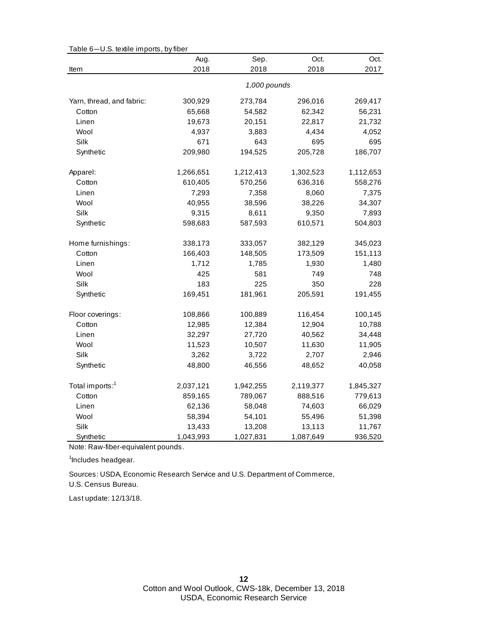|                             | Aug.      | Sep.         | Oct.      | Oct.      |
|-----------------------------|-----------|--------------|-----------|-----------|
| Item                        | 2018      | 2018         | 2018      | 2017      |
|                             |           | 1,000 pounds |           |           |
| Yarn, thread, and fabric:   | 300,929   | 273,784      | 296,016   | 269,417   |
| Cotton                      | 65,668    | 54,582       | 62,342    | 56,231    |
| Linen                       | 19,673    | 20,151       | 22,817    | 21,732    |
| Wool                        | 4,937     | 3,883        | 4,434     | 4,052     |
| Silk                        | 671       | 643          | 695       | 695       |
| Synthetic                   | 209,980   | 194,525      | 205,728   | 186,707   |
| Apparel:                    | 1,266,651 | 1,212,413    | 1,302,523 | 1,112,653 |
| Cotton                      | 610,405   | 570,256      | 636,316   | 558,276   |
| Linen                       | 7,293     | 7,358        | 8,060     | 7,375     |
| Wool                        | 40,955    | 38,596       | 38,226    | 34,307    |
| Silk                        | 9,315     | 8,611        | 9,350     | 7,893     |
| Synthetic                   | 598,683   | 587,593      | 610,571   | 504,803   |
| Home furnishings:           | 338,173   | 333,057      | 382,129   | 345,023   |
| Cotton                      | 166,403   | 148,505      | 173,509   | 151,113   |
| Linen                       | 1,712     | 1,785        | 1,930     | 1,480     |
| Wool                        | 425       | 581          | 749       | 748       |
| Silk                        | 183       | 225          | 350       | 228       |
| Synthetic                   | 169,451   | 181,961      | 205,591   | 191,455   |
| Floor coverings:            | 108,866   | 100,889      | 116,454   | 100,145   |
| Cotton                      | 12,985    | 12,384       | 12,904    | 10,788    |
| Linen                       | 32,297    | 27,720       | 40,562    | 34,448    |
| Wool                        | 11,523    | 10,507       | 11,630    | 11,905    |
| Silk                        | 3,262     | 3,722        | 2,707     | 2,946     |
| Synthetic                   | 48,800    | 46,556       | 48,652    | 40,058    |
| Total imports: <sup>1</sup> | 2,037,121 | 1,942,255    | 2,119,377 | 1,845,327 |
| Cotton                      | 859,165   | 789,067      | 888,516   | 779,613   |
| Linen                       | 62,136    | 58,048       | 74,603    | 66,029    |
| Wool                        | 58,394    | 54,101       | 55,496    | 51,398    |
| Silk                        | 13,433    | 13,208       | 13,113    | 11,767    |
| Synthetic                   | 1,043,993 | 1,027,831    | 1,087,649 | 936,520   |

Table 6—U.S. textile imports, by fiber

Note: Raw-fiber-equivalent pounds.

<sup>1</sup>Includes headgear.

U.S. Census Bureau. Sources: USDA, Economic Research Service and U.S. Department of Commerce,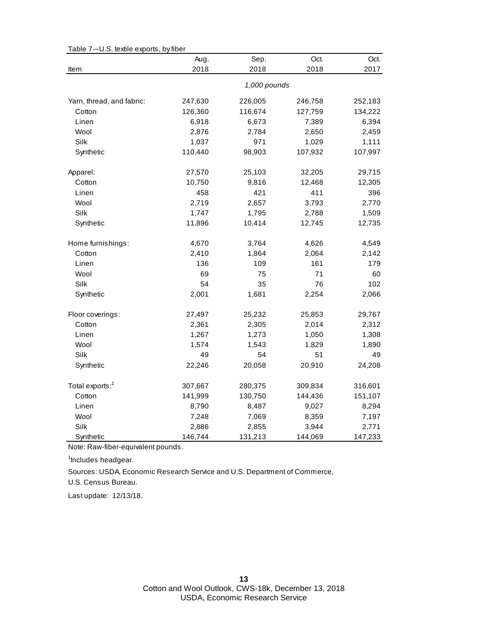|                             | Aug.    | Sep.         | Oct.    | Oct.    |
|-----------------------------|---------|--------------|---------|---------|
| Item                        | 2018    | 2018         | 2018    | 2017    |
|                             |         | 1,000 pounds |         |         |
| Yarn, thread, and fabric:   | 247,630 | 226,005      | 246,758 | 252,183 |
| Cotton                      | 126,360 | 116,674      | 127,759 | 134,222 |
| Linen                       | 6,918   | 6,673        | 7,389   | 6,394   |
| Wool                        | 2,876   | 2,784        | 2,650   | 2,459   |
| Silk                        | 1,037   | 971          | 1,029   | 1,111   |
| Synthetic                   | 110,440 | 98,903       | 107,932 | 107,997 |
| Apparel:                    | 27,570  | 25,103       | 32,205  | 29,715  |
| Cotton                      | 10,750  | 9,816        | 12,468  | 12,305  |
| Linen                       | 458     | 421          | 411     | 396     |
| Wool                        | 2,719   | 2,657        | 3,793   | 2,770   |
| Silk                        | 1,747   | 1,795        | 2,788   | 1,509   |
| Synthetic                   | 11,896  | 10,414       | 12,745  | 12,735  |
| Home furnishings:           | 4,670   | 3,764        | 4,626   | 4,549   |
| Cotton                      | 2,410   | 1,864        | 2,064   | 2,142   |
| Linen                       | 136     | 109          | 161     | 179     |
| Wool                        | 69      | 75           | 71      | 60      |
| Silk                        | 54      | 35           | 76      | 102     |
| Synthetic                   | 2,001   | 1,681        | 2,254   | 2,066   |
| Floor coverings:            | 27,497  | 25,232       | 25,853  | 29,767  |
| Cotton                      | 2,361   | 2,305        | 2,014   | 2,312   |
| Linen                       | 1,267   | 1,273        | 1,050   | 1,308   |
| Wool                        | 1,574   | 1,543        | 1,829   | 1,890   |
| Silk                        | 49      | 54           | 51      | 49      |
| Synthetic                   | 22,246  | 20,058       | 20,910  | 24,208  |
| Total exports: <sup>1</sup> | 307,667 | 280,375      | 309,834 | 316,601 |
| Cotton                      | 141,999 | 130,750      | 144,436 | 151,107 |
| Linen                       | 8,790   | 8,487        | 9,027   | 8,294   |
| Wool                        | 7,248   | 7,069        | 8,359   | 7,197   |
| Silk                        | 2,886   | 2,855        | 3,944   | 2,771   |
| Synthetic                   | 146,744 | 131,213      | 144,069 | 147,233 |

Table 7—U.S. textile exports, by fiber

Note: Raw-fiber-equivalent pounds.

<sup>1</sup>Includes headgear.

U.S. Census Bureau. Sources: USDA, Economic Research Service and U.S. Department of Commerce,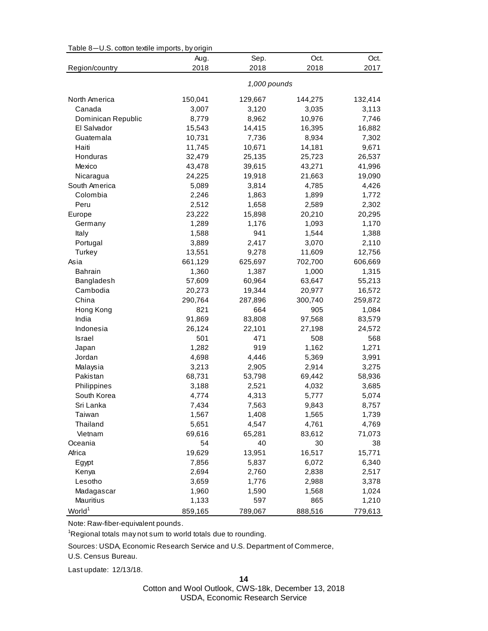| Table 8-U.S. cotton textile imports, by origin |  |
|------------------------------------------------|--|
|------------------------------------------------|--|

|                    | Aug.    | Sep.         | Oct.    | Oct.    |
|--------------------|---------|--------------|---------|---------|
| Region/country     | 2018    | 2018         | 2018    | 2017    |
|                    |         | 1,000 pounds |         |         |
| North America      | 150,041 | 129,667      | 144,275 | 132,414 |
| Canada             | 3,007   | 3,120        | 3,035   | 3,113   |
| Dominican Republic | 8,779   | 8,962        | 10,976  | 7,746   |
| El Salvador        | 15,543  | 14,415       | 16,395  | 16,882  |
| Guatemala          | 10,731  | 7,736        | 8,934   | 7,302   |
| Haiti              | 11,745  | 10,671       | 14,181  | 9,671   |
| Honduras           | 32,479  | 25,135       | 25,723  | 26,537  |
| Mexico             | 43,478  | 39,615       | 43,271  | 41,996  |
| Nicaragua          | 24,225  | 19,918       | 21,663  | 19,090  |
| South America      | 5,089   | 3,814        | 4,785   | 4,426   |
| Colombia           | 2,246   | 1,863        | 1,899   | 1,772   |
| Peru               | 2,512   | 1,658        | 2,589   | 2,302   |
| Europe             | 23,222  | 15,898       | 20,210  | 20,295  |
| Germany            | 1,289   | 1,176        | 1,093   | 1,170   |
| Italy              | 1,588   | 941          | 1,544   | 1,388   |
| Portugal           | 3,889   | 2,417        | 3,070   | 2,110   |
| Turkey             | 13,551  | 9,278        | 11,609  | 12,756  |
| Asia               | 661,129 | 625,697      | 702,700 | 606,669 |
| <b>Bahrain</b>     | 1,360   | 1,387        | 1,000   | 1,315   |
| Bangladesh         | 57,609  | 60,964       | 63,647  | 55,213  |
| Cambodia           | 20,273  | 19,344       | 20,977  | 16,572  |
| China              | 290,764 | 287,896      | 300,740 | 259,872 |
| Hong Kong          | 821     | 664          | 905     | 1,084   |
| India              | 91,869  | 83,808       | 97,568  | 83,579  |
| Indonesia          | 26,124  | 22,101       | 27,198  | 24,572  |
| <b>Israel</b>      | 501     | 471          | 508     | 568     |
| Japan              | 1,282   | 919          | 1,162   | 1,271   |
| Jordan             | 4,698   | 4,446        | 5,369   | 3,991   |
| Malaysia           | 3,213   | 2,905        | 2,914   | 3,275   |
| Pakistan           | 68,731  | 53,798       | 69,442  | 58,936  |
| Philippines        | 3,188   | 2,521        | 4,032   | 3,685   |
| South Korea        | 4,774   | 4,313        | 5,777   | 5,074   |
| Sri Lanka          | 7,434   | 7,563        | 9,843   | 8,757   |
| Taiwan             | 1,567   | 1,408        | 1,565   | 1,739   |
| Thailand           | 5,651   | 4,547        | 4,761   | 4,769   |
| Vietnam            | 69,616  | 65,281       | 83,612  | 71,073  |
| Oceania            | 54      | 40           | 30      | 38      |
| Africa             | 19,629  | 13,951       | 16,517  | 15,771  |
| Egypt              | 7,856   | 5,837        | 6,072   | 6,340   |
| Kenya              | 2,694   | 2,760        | 2,838   | 2,517   |
| Lesotho            | 3,659   | 1,776        | 2,988   | 3,378   |
| Madagascar         | 1,960   | 1,590        | 1,568   | 1,024   |
| Mauritius          | 1,133   | 597          | 865     | 1,210   |
| World <sup>1</sup> | 859,165 | 789,067      | 888,516 | 779,613 |

Note: Raw-fiber-equivalent pounds.

<sup>1</sup>Regional totals may not sum to world totals due to rounding.

Sources: USDA, Economic Research Service and U.S. Department of Commerce,

U.S. Census Bureau.

Last update: 12/13/18.

**14**

Cotton and Wool Outlook, CWS-18k, December 13, 2018 USDA, Economic Research Service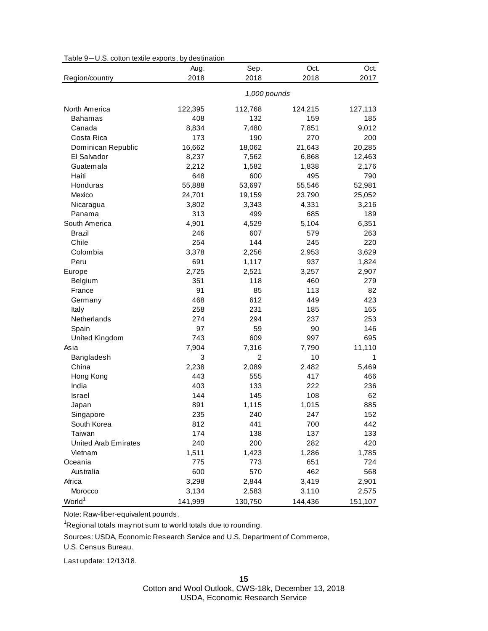| Table 9-U.S. cotton textile exports, by destination |  |  |  |
|-----------------------------------------------------|--|--|--|
|-----------------------------------------------------|--|--|--|

|                             | Aug.    | Sep.           | Oct.    | Oct.    |
|-----------------------------|---------|----------------|---------|---------|
| Region/country              | 2018    | 2018           | 2018    | 2017    |
|                             |         | 1,000 pounds   |         |         |
| North America               | 122,395 | 112,768        | 124,215 | 127,113 |
| <b>Bahamas</b>              | 408     | 132            | 159     | 185     |
| Canada                      | 8,834   | 7,480          | 7,851   | 9,012   |
| Costa Rica                  | 173     | 190            | 270     | 200     |
| Dominican Republic          | 16,662  | 18,062         | 21,643  | 20,285  |
| El Salvador                 | 8,237   | 7,562          | 6,868   | 12,463  |
| Guatemala                   | 2,212   | 1,582          | 1,838   | 2,176   |
| Haiti                       | 648     | 600            | 495     | 790     |
| Honduras                    | 55,888  | 53,697         | 55,546  | 52,981  |
| Mexico                      | 24,701  | 19,159         | 23,790  | 25,052  |
| Nicaragua                   | 3,802   | 3,343          | 4,331   | 3,216   |
| Panama                      | 313     | 499            | 685     | 189     |
| South America               | 4,901   | 4,529          | 5,104   | 6,351   |
| Brazil                      | 246     | 607            | 579     | 263     |
| Chile                       | 254     | 144            | 245     | 220     |
| Colombia                    | 3,378   | 2,256          | 2,953   | 3,629   |
| Peru                        | 691     | 1,117          | 937     | 1,824   |
| Europe                      | 2,725   | 2,521          | 3,257   | 2,907   |
| Belgium                     | 351     | 118            | 460     | 279     |
| France                      | 91      | 85             | 113     | 82      |
| Germany                     | 468     | 612            | 449     | 423     |
| Italy                       | 258     | 231            | 185     | 165     |
| Netherlands                 | 274     | 294            | 237     | 253     |
| Spain                       | 97      | 59             | 90      | 146     |
| United Kingdom              | 743     | 609            | 997     | 695     |
| Asia                        | 7,904   | 7,316          | 7,790   | 11,110  |
| Bangladesh                  | 3       | $\overline{c}$ | 10      | 1       |
| China                       | 2,238   | 2,089          | 2,482   | 5,469   |
| Hong Kong                   | 443     | 555            | 417     | 466     |
| India                       | 403     | 133            | 222     | 236     |
| <b>Israel</b>               | 144     | 145            | 108     | 62      |
| Japan                       | 891     | 1,115          | 1,015   | 885     |
| Singapore                   | 235     | 240            | 247     | 152     |
| South Korea                 | 812     | 441            | 700     | 442     |
| Taiwan                      | 174     | 138            | 137     | 133     |
| <b>United Arab Emirates</b> | 240     | 200            | 282     | 420     |
| Vietnam                     | 1,511   | 1,423          | 1,286   | 1,785   |
| Oceania                     | 775     | 773            | 651     | 724     |
| Australia                   | 600     | 570            | 462     | 568     |
| Africa                      | 3,298   | 2,844          | 3,419   | 2,901   |
| Morocco                     | 3,134   | 2,583          | 3,110   | 2,575   |
| World <sup>1</sup>          | 141,999 | 130,750        | 144,436 | 151,107 |

Note: Raw-fiber-equivalent pounds.

<sup>1</sup>Regional totals may not sum to world totals due to rounding.

Sources: USDA, Economic Research Service and U.S. Department of Commerce,

U.S. Census Bureau.